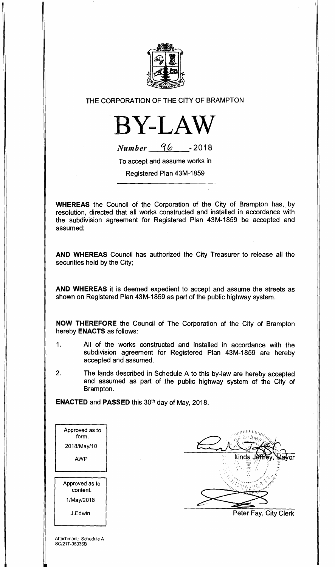

THE CORPORATION OF THE CITY OF BRAMPTON

**BY-LAW** 

**Number** 96 - 2018

To accept and assume works in

Registered Plan 43M-1859

**WHEREAS** the Council of the Corporation of the City of Brampton has, by resolution, directed that all works constructed and installed in accordance with the subdivision agreement for Registered Plan 43M-1859 be accepted and assumed;

**AND WHEREAS** Council has authorized the City Treasurer to release all the securities held by the City;

**AND WHEREAS** it is deemed expedient to accept and assume the streets as shown on Registered Plan 43M-1859 as part of the public highway system.

**NOW THEREFORE** the Council of The Corporation of the City of Brampton hereby **ENACTS** as follows:

- 1. All of the works constructed and installed in accordance with the subdivision agreement for Registered Plan 43M-1859 are hereby accepted and assumed.
- 2. The lands described in Schedule A to this by-law are hereby accepted and assumed as part of the public highway system of the City of Brampton.

**ENACTED and PASSED this 30<sup>th</sup> day of May, 2018.** 

| Approved as to<br>form.    |  |
|----------------------------|--|
| 2018/May/10                |  |
| AWP                        |  |
|                            |  |
|                            |  |
| Approved as to<br>content. |  |
| 1/May/2018                 |  |
| J.Edwin                    |  |
|                            |  |



Peter Fay, City Clerk

Attachment: Schedule A SC/21T-05036B